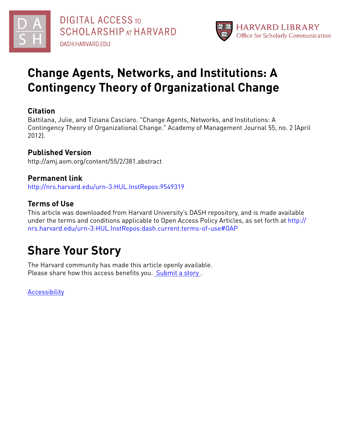



# **Change Agents, Networks, and Institutions: A Contingency Theory of Organizational Change**

# **Citation**

Battilana, Julie, and Tiziana Casciaro. "Change Agents, Networks, and Institutions: A Contingency Theory of Organizational Change." Academy of Management Journal 55, no. 2 (April 2012).

# **Published Version**

http://amj.aom.org/content/55/2/381.abstract

# **Permanent link**

<http://nrs.harvard.edu/urn-3:HUL.InstRepos:9549319>

# **Terms of Use**

This article was downloaded from Harvard University's DASH repository, and is made available under the terms and conditions applicable to Open Access Policy Articles, as set forth at [http://](http://nrs.harvard.edu/urn-3:HUL.InstRepos:dash.current.terms-of-use#OAP) [nrs.harvard.edu/urn-3:HUL.InstRepos:dash.current.terms-of-use#OAP](http://nrs.harvard.edu/urn-3:HUL.InstRepos:dash.current.terms-of-use#OAP)

# **Share Your Story**

The Harvard community has made this article openly available. Please share how this access benefits you. [Submit](http://osc.hul.harvard.edu/dash/open-access-feedback?handle=&title=Change%20Agents,%20Networks,%20and%20Institutions:%20A%20Contingency%20Theory%20of%20Organizational%20Change&community=1/3345929&collection=1/3345930&owningCollection1/3345930&harvardAuthors=b232099d253def13cccef3510fdcd8a4&department) a story .

**[Accessibility](https://dash.harvard.edu/pages/accessibility)**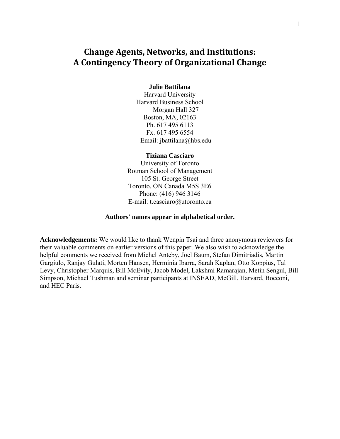# **Change Agents, Networks, and Institutions: A Contingency Theory of Organizational Change**

## **Julie Battilana**

Harvard University Harvard Business School Morgan Hall 327 Boston, MA, 02163 Ph. 617 495 6113 Fx. 617 495 6554 Email: jbattilana@hbs.edu

# **Tiziana Casciaro**

University of Toronto Rotman School of Management 105 St. George Street Toronto, ON Canada M5S 3E6 Phone: (416) 946 3146 E-mail: t.casciaro@utoronto.ca

## **Authors' names appear in alphabetical order.**

**Acknowledgements:** We would like to thank Wenpin Tsai and three anonymous reviewers for their valuable comments on earlier versions of this paper. We also wish to acknowledge the helpful comments we received from Michel Anteby, Joel Baum, Stefan Dimitriadis, Martin Gargiulo, Ranjay Gulati, Morten Hansen, Herminia Ibarra, Sarah Kaplan, Otto Koppius, Tal Levy, Christopher Marquis, Bill McEvily, Jacob Model, Lakshmi Ramarajan, Metin Sengul, Bill Simpson, Michael Tushman and seminar participants at INSEAD, McGill, Harvard, Bocconi, and HEC Paris.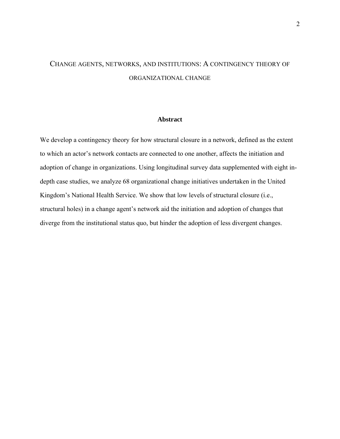# CHANGE AGENTS, NETWORKS, AND INSTITUTIONS: A CONTINGENCY THEORY OF ORGANIZATIONAL CHANGE

## **Abstract**

We develop a contingency theory for how structural closure in a network, defined as the extent to which an actor's network contacts are connected to one another, affects the initiation and adoption of change in organizations. Using longitudinal survey data supplemented with eight indepth case studies, we analyze 68 organizational change initiatives undertaken in the United Kingdom's National Health Service. We show that low levels of structural closure (i.e., structural holes) in a change agent's network aid the initiation and adoption of changes that diverge from the institutional status quo, but hinder the adoption of less divergent changes.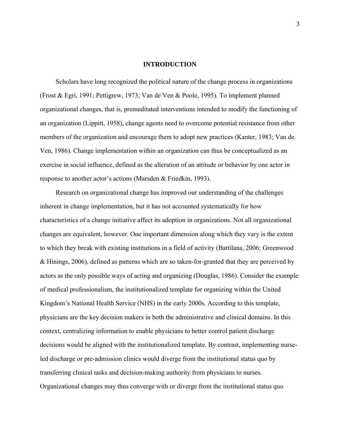#### **INTRODUCTION**

Scholars have long recognized the political nature of the change process in organizations (Frost & Egri, 1991; Pettigrew, 1973; Van de Ven & Poole, 1995). To implement planned organizational changes, that is, premeditated interventions intended to modify the functioning of an organization (Lippitt, 1958), change agents need to overcome potential resistance from other members of the organization and encourage them to adopt new practices (Kanter, 1983; Van de Ven, 1986). Change implementation within an organization can thus be conceptualized as an exercise in social influence, defined as the alteration of an attitude or behavior by one actor in response to another actor's actions (Marsden & Friedkin, 1993).

Research on organizational change has improved our understanding of the challenges inherent in change implementation, but it has not accounted systematically for how characteristics of a change initiative affect its adoption in organizations. Not all organizational changes are equivalent, however. One important dimension along which they vary is the extent to which they break with existing institutions in a field of activity (Battilana, 2006; Greenwood & Hinings, 2006), defined as patterns which are so taken-for-granted that they are perceived by actors as the only possible ways of acting and organizing (Douglas, 1986). Consider the example of medical professionalism, the institutionalized template for organizing within the United Kingdom's National Health Service (NHS) in the early 2000s. According to this template, physicians are the key decision makers in both the administrative and clinical domains. In this context, centralizing information to enable physicians to better control patient discharge decisions would be aligned with the institutionalized template. By contrast, implementing nurseled discharge or pre-admission clinics would diverge from the institutional status quo by transferring clinical tasks and decision-making authority from physicians to nurses. Organizational changes may thus converge with or diverge from the institutional status quo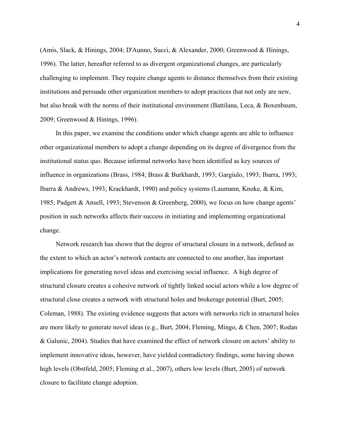(Amis, Slack, & Hinings, 2004; D'Aunno, Succi, & Alexander, 2000; Greenwood & Hinings, 1996). The latter, hereafter referred to as divergent organizational changes, are particularly challenging to implement. They require change agents to distance themselves from their existing institutions and persuade other organization members to adopt practices that not only are new, but also break with the norms of their institutional environment (Battilana, Leca, & Boxenbaum, 2009; Greenwood & Hinings, 1996).

In this paper, we examine the conditions under which change agents are able to influence other organizational members to adopt a change depending on its degree of divergence from the institutional status quo. Because informal networks have been identified as key sources of influence in organizations (Brass, 1984; Brass & Burkhardt, 1993; Gargiulo, 1993; Ibarra, 1993; Ibarra & Andrews, 1993; Krackhardt, 1990) and policy systems (Laumann, Knoke, & Kim, 1985; Padgett & Ansell, 1993; Stevenson & Greenberg, 2000), we focus on how change agents' position in such networks affects their success in initiating and implementing organizational change.

Network research has shown that the degree of structural closure in a network, defined as the extent to which an actor's network contacts are connected to one another, has important implications for generating novel ideas and exercising social influence. A high degree of structural closure creates a cohesive network of tightly linked social actors while a low degree of structural close creates a network with structural holes and brokerage potential (Burt, 2005; Coleman, 1988). The existing evidence suggests that actors with networks rich in structural holes are more likely to generate novel ideas (e.g., Burt, 2004; Fleming, Mingo, & Chen, 2007; Rodan & Galunic, 2004). Studies that have examined the effect of network closure on actors' ability to implement innovative ideas, however, have yielded contradictory findings, some having shown high levels (Obstfeld, 2005; Fleming et al., 2007), others low levels (Burt, 2005) of network closure to facilitate change adoption.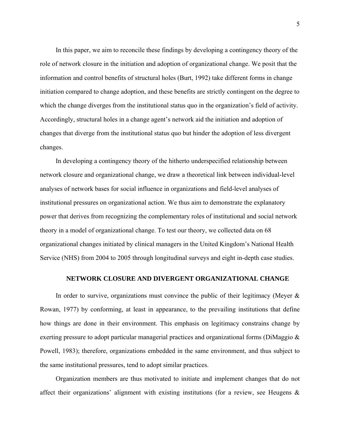In this paper, we aim to reconcile these findings by developing a contingency theory of the role of network closure in the initiation and adoption of organizational change. We posit that the information and control benefits of structural holes (Burt, 1992) take different forms in change initiation compared to change adoption, and these benefits are strictly contingent on the degree to which the change diverges from the institutional status quo in the organization's field of activity. Accordingly, structural holes in a change agent's network aid the initiation and adoption of changes that diverge from the institutional status quo but hinder the adoption of less divergent changes.

In developing a contingency theory of the hitherto underspecified relationship between network closure and organizational change, we draw a theoretical link between individual-level analyses of network bases for social influence in organizations and field-level analyses of institutional pressures on organizational action. We thus aim to demonstrate the explanatory power that derives from recognizing the complementary roles of institutional and social network theory in a model of organizational change. To test our theory, we collected data on 68 organizational changes initiated by clinical managers in the United Kingdom's National Health Service (NHS) from 2004 to 2005 through longitudinal surveys and eight in-depth case studies.

#### **NETWORK CLOSURE AND DIVERGENT ORGANIZATIONAL CHANGE**

In order to survive, organizations must convince the public of their legitimacy (Meyer  $\&$ Rowan, 1977) by conforming, at least in appearance, to the prevailing institutions that define how things are done in their environment. This emphasis on legitimacy constrains change by exerting pressure to adopt particular managerial practices and organizational forms (DiMaggio & Powell, 1983); therefore, organizations embedded in the same environment, and thus subject to the same institutional pressures, tend to adopt similar practices.

Organization members are thus motivated to initiate and implement changes that do not affect their organizations' alignment with existing institutions (for a review, see Heugens &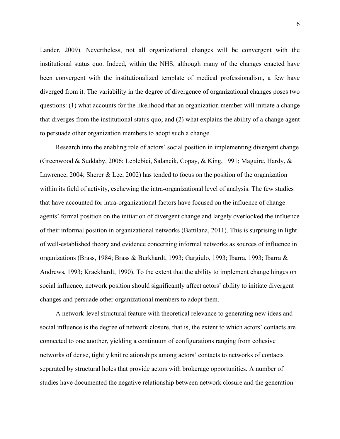Lander, 2009). Nevertheless, not all organizational changes will be convergent with the institutional status quo. Indeed, within the NHS, although many of the changes enacted have been convergent with the institutionalized template of medical professionalism, a few have diverged from it. The variability in the degree of divergence of organizational changes poses two questions: (1) what accounts for the likelihood that an organization member will initiate a change that diverges from the institutional status quo; and (2) what explains the ability of a change agent to persuade other organization members to adopt such a change.

Research into the enabling role of actors' social position in implementing divergent change (Greenwood & Suddaby, 2006; Leblebici, Salancik, Copay, & King, 1991; Maguire, Hardy, & Lawrence, 2004; Sherer & Lee, 2002) has tended to focus on the position of the organization within its field of activity, eschewing the intra-organizational level of analysis. The few studies that have accounted for intra-organizational factors have focused on the influence of change agents' formal position on the initiation of divergent change and largely overlooked the influence of their informal position in organizational networks (Battilana, 2011). This is surprising in light of well-established theory and evidence concerning informal networks as sources of influence in organizations (Brass, 1984; Brass & Burkhardt, 1993; Gargiulo, 1993; Ibarra, 1993; Ibarra & Andrews, 1993; Krackhardt, 1990). To the extent that the ability to implement change hinges on social influence, network position should significantly affect actors' ability to initiate divergent changes and persuade other organizational members to adopt them.

A network-level structural feature with theoretical relevance to generating new ideas and social influence is the degree of network closure, that is, the extent to which actors' contacts are connected to one another, yielding a continuum of configurations ranging from cohesive networks of dense, tightly knit relationships among actors' contacts to networks of contacts separated by structural holes that provide actors with brokerage opportunities. A number of studies have documented the negative relationship between network closure and the generation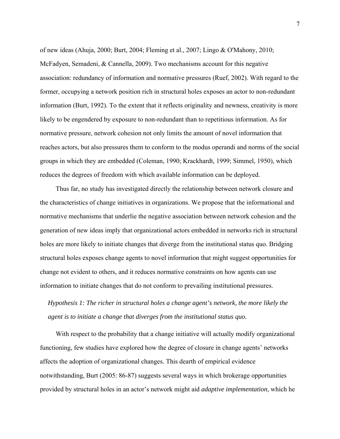of new ideas (Ahuja, 2000; Burt, 2004; Fleming et al., 2007; Lingo & O'Mahony, 2010; McFadyen, Semadeni, & Cannella, 2009). Two mechanisms account for this negative association: redundancy of information and normative pressures (Ruef, 2002). With regard to the former, occupying a network position rich in structural holes exposes an actor to non-redundant information (Burt, 1992). To the extent that it reflects originality and newness, creativity is more likely to be engendered by exposure to non-redundant than to repetitious information. As for normative pressure, network cohesion not only limits the amount of novel information that reaches actors, but also pressures them to conform to the modus operandi and norms of the social groups in which they are embedded (Coleman, 1990; Krackhardt, 1999; Simmel, 1950), which reduces the degrees of freedom with which available information can be deployed.

Thus far, no study has investigated directly the relationship between network closure and the characteristics of change initiatives in organizations. We propose that the informational and normative mechanisms that underlie the negative association between network cohesion and the generation of new ideas imply that organizational actors embedded in networks rich in structural holes are more likely to initiate changes that diverge from the institutional status quo. Bridging structural holes exposes change agents to novel information that might suggest opportunities for change not evident to others, and it reduces normative constraints on how agents can use information to initiate changes that do not conform to prevailing institutional pressures.

*Hypothesis 1: The richer in structural holes a change agent's network, the more likely the agent is to initiate a change that diverges from the institutional status quo.* 

With respect to the probability that a change initiative will actually modify organizational functioning, few studies have explored how the degree of closure in change agents' networks affects the adoption of organizational changes. This dearth of empirical evidence notwithstanding, Burt (2005: 86-87) suggests several ways in which brokerage opportunities provided by structural holes in an actor's network might aid *adaptive implementation*, which he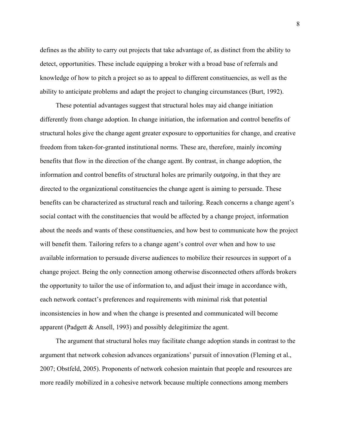defines as the ability to carry out projects that take advantage of, as distinct from the ability to detect, opportunities. These include equipping a broker with a broad base of referrals and knowledge of how to pitch a project so as to appeal to different constituencies, as well as the ability to anticipate problems and adapt the project to changing circumstances (Burt, 1992).

These potential advantages suggest that structural holes may aid change initiation differently from change adoption. In change initiation, the information and control benefits of structural holes give the change agent greater exposure to opportunities for change, and creative freedom from taken-for-granted institutional norms. These are, therefore, mainly *incoming* benefits that flow in the direction of the change agent. By contrast, in change adoption, the information and control benefits of structural holes are primarily *outgoing*, in that they are directed to the organizational constituencies the change agent is aiming to persuade. These benefits can be characterized as structural reach and tailoring. Reach concerns a change agent's social contact with the constituencies that would be affected by a change project, information about the needs and wants of these constituencies, and how best to communicate how the project will benefit them. Tailoring refers to a change agent's control over when and how to use available information to persuade diverse audiences to mobilize their resources in support of a change project. Being the only connection among otherwise disconnected others affords brokers the opportunity to tailor the use of information to, and adjust their image in accordance with, each network contact's preferences and requirements with minimal risk that potential inconsistencies in how and when the change is presented and communicated will become apparent (Padgett & Ansell, 1993) and possibly delegitimize the agent.

The argument that structural holes may facilitate change adoption stands in contrast to the argument that network cohesion advances organizations' pursuit of innovation (Fleming et al., 2007; Obstfeld, 2005). Proponents of network cohesion maintain that people and resources are more readily mobilized in a cohesive network because multiple connections among members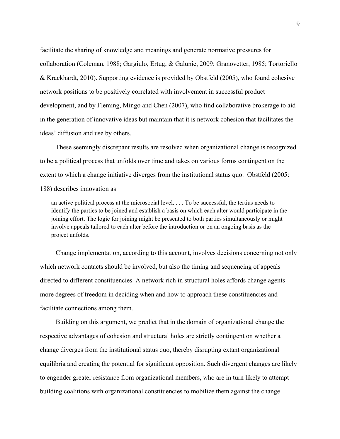facilitate the sharing of knowledge and meanings and generate normative pressures for collaboration (Coleman, 1988; Gargiulo, Ertug, & Galunic, 2009; Granovetter, 1985; Tortoriello & Krackhardt, 2010). Supporting evidence is provided by Obstfeld (2005), who found cohesive network positions to be positively correlated with involvement in successful product development, and by Fleming, Mingo and Chen (2007), who find collaborative brokerage to aid in the generation of innovative ideas but maintain that it is network cohesion that facilitates the ideas' diffusion and use by others.

These seemingly discrepant results are resolved when organizational change is recognized to be a political process that unfolds over time and takes on various forms contingent on the extent to which a change initiative diverges from the institutional status quo. Obstfeld (2005: 188) describes innovation as

an active political process at the microsocial level. . . . To be successful, the tertius needs to identify the parties to be joined and establish a basis on which each alter would participate in the joining effort. The logic for joining might be presented to both parties simultaneously or might involve appeals tailored to each alter before the introduction or on an ongoing basis as the project unfolds.

Change implementation, according to this account, involves decisions concerning not only which network contacts should be involved, but also the timing and sequencing of appeals directed to different constituencies. A network rich in structural holes affords change agents more degrees of freedom in deciding when and how to approach these constituencies and facilitate connections among them.

Building on this argument, we predict that in the domain of organizational change the respective advantages of cohesion and structural holes are strictly contingent on whether a change diverges from the institutional status quo, thereby disrupting extant organizational equilibria and creating the potential for significant opposition. Such divergent changes are likely to engender greater resistance from organizational members, who are in turn likely to attempt building coalitions with organizational constituencies to mobilize them against the change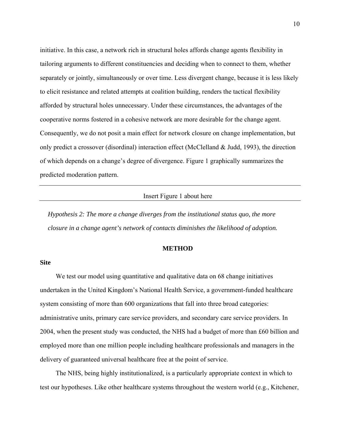initiative. In this case, a network rich in structural holes affords change agents flexibility in tailoring arguments to different constituencies and deciding when to connect to them, whether separately or jointly, simultaneously or over time. Less divergent change, because it is less likely to elicit resistance and related attempts at coalition building, renders the tactical flexibility afforded by structural holes unnecessary. Under these circumstances, the advantages of the cooperative norms fostered in a cohesive network are more desirable for the change agent. Consequently, we do not posit a main effect for network closure on change implementation, but only predict a crossover (disordinal) interaction effect (McClelland & Judd, 1993), the direction of which depends on a change's degree of divergence. Figure 1 graphically summarizes the predicted moderation pattern.

## Insert Figure 1 about here

*Hypothesis 2: The more a change diverges from the institutional status quo, the more closure in a change agent's network of contacts diminishes the likelihood of adoption.* 

## **METHOD**

## **Site**

We test our model using quantitative and qualitative data on 68 change initiatives undertaken in the United Kingdom's National Health Service, a government-funded healthcare system consisting of more than 600 organizations that fall into three broad categories: administrative units, primary care service providers, and secondary care service providers. In 2004, when the present study was conducted, the NHS had a budget of more than £60 billion and employed more than one million people including healthcare professionals and managers in the delivery of guaranteed universal healthcare free at the point of service.

The NHS, being highly institutionalized, is a particularly appropriate context in which to test our hypotheses. Like other healthcare systems throughout the western world (e.g., Kitchener,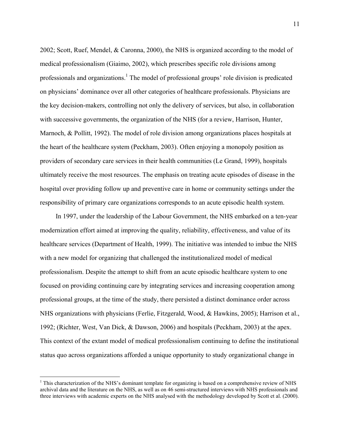2002; Scott, Ruef, Mendel, & Caronna, 2000), the NHS is organized according to the model of medical professionalism (Giaimo, 2002), which prescribes specific role divisions among professionals and organizations.<sup>1</sup> The model of professional groups' role division is predicated on physicians' dominance over all other categories of healthcare professionals. Physicians are the key decision-makers, controlling not only the delivery of services, but also, in collaboration with successive governments, the organization of the NHS (for a review, Harrison, Hunter, Marnoch, & Pollitt, 1992). The model of role division among organizations places hospitals at the heart of the healthcare system (Peckham, 2003). Often enjoying a monopoly position as providers of secondary care services in their health communities (Le Grand, 1999), hospitals ultimately receive the most resources. The emphasis on treating acute episodes of disease in the hospital over providing follow up and preventive care in home or community settings under the responsibility of primary care organizations corresponds to an acute episodic health system.

In 1997, under the leadership of the Labour Government, the NHS embarked on a ten-year modernization effort aimed at improving the quality, reliability, effectiveness, and value of its healthcare services (Department of Health, 1999). The initiative was intended to imbue the NHS with a new model for organizing that challenged the institutionalized model of medical professionalism. Despite the attempt to shift from an acute episodic healthcare system to one focused on providing continuing care by integrating services and increasing cooperation among professional groups, at the time of the study, there persisted a distinct dominance order across NHS organizations with physicians (Ferlie, Fitzgerald, Wood, & Hawkins, 2005); Harrison et al., 1992; (Richter, West, Van Dick, & Dawson, 2006) and hospitals (Peckham, 2003) at the apex. This context of the extant model of medical professionalism continuing to define the institutional status quo across organizations afforded a unique opportunity to study organizational change in

1

<sup>&</sup>lt;sup>1</sup> This characterization of the NHS's dominant template for organizing is based on a comprehensive review of NHS archival data and the literature on the NHS, as well as on 46 semi-structured interviews with NHS professionals and three interviews with academic experts on the NHS analysed with the methodology developed by Scott et al. (2000).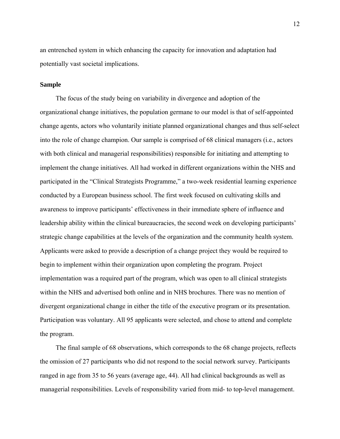an entrenched system in which enhancing the capacity for innovation and adaptation had potentially vast societal implications.

# **Sample**

The focus of the study being on variability in divergence and adoption of the organizational change initiatives, the population germane to our model is that of self-appointed change agents, actors who voluntarily initiate planned organizational changes and thus self-select into the role of change champion. Our sample is comprised of 68 clinical managers (i.e., actors with both clinical and managerial responsibilities) responsible for initiating and attempting to implement the change initiatives. All had worked in different organizations within the NHS and participated in the "Clinical Strategists Programme," a two-week residential learning experience conducted by a European business school. The first week focused on cultivating skills and awareness to improve participants' effectiveness in their immediate sphere of influence and leadership ability within the clinical bureaucracies, the second week on developing participants' strategic change capabilities at the levels of the organization and the community health system. Applicants were asked to provide a description of a change project they would be required to begin to implement within their organization upon completing the program. Project implementation was a required part of the program, which was open to all clinical strategists within the NHS and advertised both online and in NHS brochures. There was no mention of divergent organizational change in either the title of the executive program or its presentation. Participation was voluntary. All 95 applicants were selected, and chose to attend and complete the program.

The final sample of 68 observations, which corresponds to the 68 change projects, reflects the omission of 27 participants who did not respond to the social network survey. Participants ranged in age from 35 to 56 years (average age, 44). All had clinical backgrounds as well as managerial responsibilities. Levels of responsibility varied from mid- to top-level management.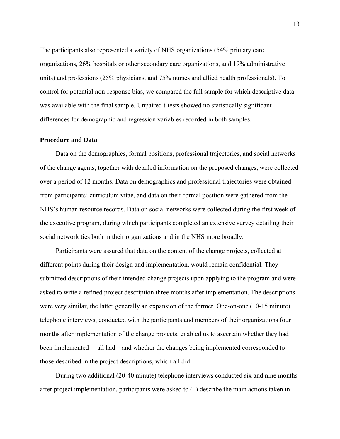The participants also represented a variety of NHS organizations (54% primary care organizations, 26% hospitals or other secondary care organizations, and 19% administrative units) and professions (25% physicians, and 75% nurses and allied health professionals). To control for potential non-response bias, we compared the full sample for which descriptive data was available with the final sample. Unpaired t-tests showed no statistically significant differences for demographic and regression variables recorded in both samples.

#### **Procedure and Data**

Data on the demographics, formal positions, professional trajectories, and social networks of the change agents, together with detailed information on the proposed changes, were collected over a period of 12 months. Data on demographics and professional trajectories were obtained from participants' curriculum vitae, and data on their formal position were gathered from the NHS's human resource records. Data on social networks were collected during the first week of the executive program, during which participants completed an extensive survey detailing their social network ties both in their organizations and in the NHS more broadly.

Participants were assured that data on the content of the change projects, collected at different points during their design and implementation, would remain confidential. They submitted descriptions of their intended change projects upon applying to the program and were asked to write a refined project description three months after implementation. The descriptions were very similar, the latter generally an expansion of the former. One-on-one (10-15 minute) telephone interviews, conducted with the participants and members of their organizations four months after implementation of the change projects, enabled us to ascertain whether they had been implemented— all had—and whether the changes being implemented corresponded to those described in the project descriptions, which all did.

During two additional (20-40 minute) telephone interviews conducted six and nine months after project implementation, participants were asked to (1) describe the main actions taken in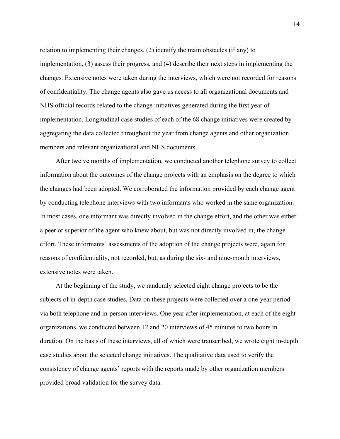relation to implementing their changes, (2) identify the main obstacles (if any) to implementation, (3) assess their progress, and (4) describe their next steps in implementing the changes. Extensive notes were taken during the interviews, which were not recorded for reasons of confidentiality. The change agents also gave us access to all organizational documents and NHS official records related to the change initiatives generated during the first year of implementation. Longitudinal case studies of each of the 68 change initiatives were created by aggregating the data collected throughout the year from change agents and other organization members and relevant organizational and NHS documents.

After twelve months of implementation, we conducted another telephone survey to collect information about the outcomes of the change projects with an emphasis on the degree to which the changes had been adopted. We corroborated the information provided by each change agent by conducting telephone interviews with two informants who worked in the same organization. In most cases, one informant was directly involved in the change effort, and the other was either a peer or superior of the agent who knew about, but was not directly involved in, the change effort. These informants' assessments of the adoption of the change projects were, again for reasons of confidentiality, not recorded, but, as during the six- and nine-month interviews, extensive notes were taken.

At the beginning of the study, we randomly selected eight change projects to be the subjects of in-depth case studies. Data on these projects were collected over a one-year period via both telephone and in-person interviews. One year after implementation, at each of the eight organizations, we conducted between 12 and 20 interviews of 45 minutes to two hours in duration. On the basis of these interviews, all of which were transcribed, we wrote eight in-depth case studies about the selected change initiatives. The qualitative data used to verify the consistency of change agents' reports with the reports made by other organization members provided broad validation for the survey data.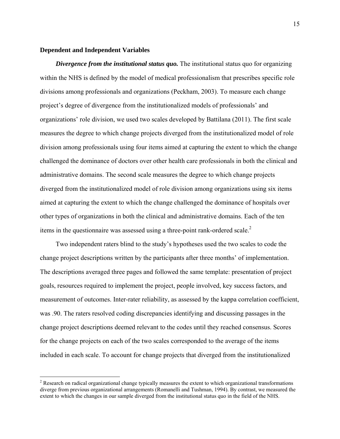#### **Dependent and Independent Variables**

 $\overline{a}$ 

*Divergence from the institutional status quo.* The institutional status quo for organizing within the NHS is defined by the model of medical professionalism that prescribes specific role divisions among professionals and organizations (Peckham, 2003). To measure each change project's degree of divergence from the institutionalized models of professionals' and organizations' role division, we used two scales developed by Battilana (2011). The first scale measures the degree to which change projects diverged from the institutionalized model of role division among professionals using four items aimed at capturing the extent to which the change challenged the dominance of doctors over other health care professionals in both the clinical and administrative domains. The second scale measures the degree to which change projects diverged from the institutionalized model of role division among organizations using six items aimed at capturing the extent to which the change challenged the dominance of hospitals over other types of organizations in both the clinical and administrative domains. Each of the ten items in the questionnaire was assessed using a three-point rank-ordered scale.<sup>2</sup>

Two independent raters blind to the study's hypotheses used the two scales to code the change project descriptions written by the participants after three months' of implementation. The descriptions averaged three pages and followed the same template: presentation of project goals, resources required to implement the project, people involved, key success factors, and measurement of outcomes. Inter-rater reliability, as assessed by the kappa correlation coefficient, was .90. The raters resolved coding discrepancies identifying and discussing passages in the change project descriptions deemed relevant to the codes until they reached consensus. Scores for the change projects on each of the two scales corresponded to the average of the items included in each scale. To account for change projects that diverged from the institutionalized

 $2^2$  Research on radical organizational change typically measures the extent to which organizational transformations diverge from previous organizational arrangements (Romanelli and Tushman, 1994). By contrast, we measured the extent to which the changes in our sample diverged from the institutional status quo in the field of the NHS.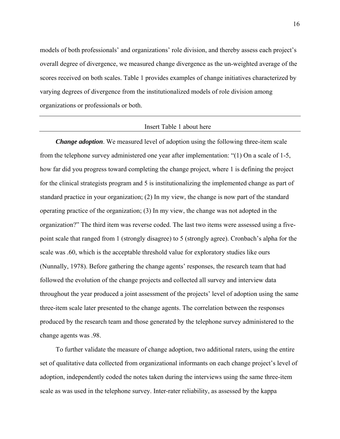models of both professionals' and organizations' role division, and thereby assess each project's overall degree of divergence, we measured change divergence as the un-weighted average of the scores received on both scales. Table 1 provides examples of change initiatives characterized by varying degrees of divergence from the institutionalized models of role division among organizations or professionals or both.

#### Insert Table 1 about here

*Change adoption*. We measured level of adoption using the following three-item scale from the telephone survey administered one year after implementation: "(1) On a scale of 1-5, how far did you progress toward completing the change project, where 1 is defining the project for the clinical strategists program and 5 is institutionalizing the implemented change as part of standard practice in your organization; (2) In my view, the change is now part of the standard operating practice of the organization; (3) In my view, the change was not adopted in the organization?" The third item was reverse coded. The last two items were assessed using a fivepoint scale that ranged from 1 (strongly disagree) to 5 (strongly agree). Cronbach's alpha for the scale was .60, which is the acceptable threshold value for exploratory studies like ours (Nunnally, 1978). Before gathering the change agents' responses, the research team that had followed the evolution of the change projects and collected all survey and interview data throughout the year produced a joint assessment of the projects' level of adoption using the same three-item scale later presented to the change agents. The correlation between the responses produced by the research team and those generated by the telephone survey administered to the change agents was .98.

To further validate the measure of change adoption, two additional raters, using the entire set of qualitative data collected from organizational informants on each change project's level of adoption, independently coded the notes taken during the interviews using the same three-item scale as was used in the telephone survey. Inter-rater reliability, as assessed by the kappa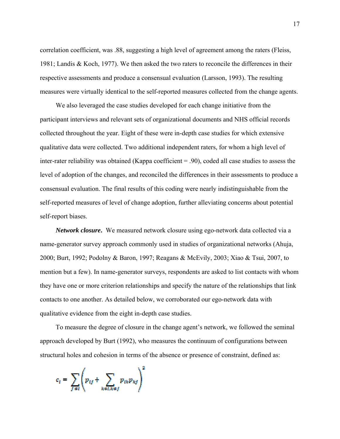correlation coefficient, was .88, suggesting a high level of agreement among the raters (Fleiss, 1981; Landis & Koch, 1977). We then asked the two raters to reconcile the differences in their respective assessments and produce a consensual evaluation (Larsson, 1993). The resulting measures were virtually identical to the self-reported measures collected from the change agents.

We also leveraged the case studies developed for each change initiative from the participant interviews and relevant sets of organizational documents and NHS official records collected throughout the year. Eight of these were in-depth case studies for which extensive qualitative data were collected. Two additional independent raters, for whom a high level of inter-rater reliability was obtained (Kappa coefficient  $= .90$ ), coded all case studies to assess the level of adoption of the changes, and reconciled the differences in their assessments to produce a consensual evaluation. The final results of this coding were nearly indistinguishable from the self-reported measures of level of change adoption, further alleviating concerns about potential self-report biases.

*Network closure***.** We measured network closure using ego-network data collected via a name-generator survey approach commonly used in studies of organizational networks (Ahuja, 2000; Burt, 1992; Podolny & Baron, 1997; Reagans & McEvily, 2003; Xiao & Tsui, 2007, to mention but a few). In name-generator surveys, respondents are asked to list contacts with whom they have one or more criterion relationships and specify the nature of the relationships that link contacts to one another. As detailed below, we corroborated our ego-network data with qualitative evidence from the eight in-depth case studies.

To measure the degree of closure in the change agent's network, we followed the seminal approach developed by Burt (1992), who measures the continuum of configurations between structural holes and cohesion in terms of the absence or presence of constraint, defined as:

$$
c_t = \sum_{j \neq t} \left( p_{ij} + \sum_{k \neq t, k \neq j} p_{ik} p_{kj} \right)^2
$$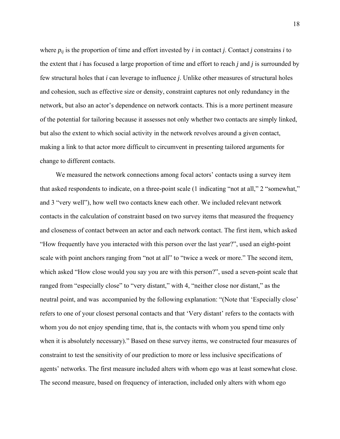where  $p_{ij}$  is the proportion of time and effort invested by *i* in contact *j*. Contact *j* constrains *i* to the extent that *i* has focused a large proportion of time and effort to reach *j* and *j* is surrounded by few structural holes that *i* can leverage to influence *j*. Unlike other measures of structural holes and cohesion, such as effective size or density, constraint captures not only redundancy in the network, but also an actor's dependence on network contacts. This is a more pertinent measure of the potential for tailoring because it assesses not only whether two contacts are simply linked, but also the extent to which social activity in the network revolves around a given contact, making a link to that actor more difficult to circumvent in presenting tailored arguments for change to different contacts.

We measured the network connections among focal actors' contacts using a survey item that asked respondents to indicate, on a three-point scale (1 indicating "not at all," 2 "somewhat," and 3 "very well"), how well two contacts knew each other. We included relevant network contacts in the calculation of constraint based on two survey items that measured the frequency and closeness of contact between an actor and each network contact. The first item, which asked "How frequently have you interacted with this person over the last year?", used an eight-point scale with point anchors ranging from "not at all" to "twice a week or more." The second item, which asked "How close would you say you are with this person?", used a seven-point scale that ranged from "especially close" to "very distant," with 4, "neither close nor distant," as the neutral point, and was accompanied by the following explanation: "(Note that 'Especially close' refers to one of your closest personal contacts and that 'Very distant' refers to the contacts with whom you do not enjoy spending time, that is, the contacts with whom you spend time only when it is absolutely necessary)." Based on these survey items, we constructed four measures of constraint to test the sensitivity of our prediction to more or less inclusive specifications of agents' networks. The first measure included alters with whom ego was at least somewhat close. The second measure, based on frequency of interaction, included only alters with whom ego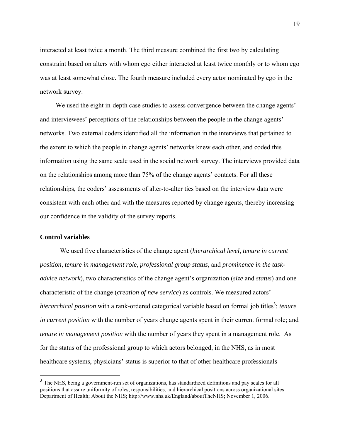interacted at least twice a month. The third measure combined the first two by calculating constraint based on alters with whom ego either interacted at least twice monthly or to whom ego was at least somewhat close. The fourth measure included every actor nominated by ego in the network survey.

We used the eight in-depth case studies to assess convergence between the change agents' and interviewees' perceptions of the relationships between the people in the change agents' networks. Two external coders identified all the information in the interviews that pertained to the extent to which the people in change agents' networks knew each other, and coded this information using the same scale used in the social network survey. The interviews provided data on the relationships among more than 75% of the change agents' contacts. For all these relationships, the coders' assessments of alter-to-alter ties based on the interview data were consistent with each other and with the measures reported by change agents, thereby increasing our confidence in the validity of the survey reports.

## **Control variables**

1

We used five characteristics of the change agent (*hierarchical level*, *tenure in current position*, *tenure in management role*, *professional group status*, and *prominence in the taskadvice network*), two characteristics of the change agent's organization (*size* and *status*) and one characteristic of the change (*creation of new service*) as controls. We measured actors' hierarchical position with a rank-ordered categorical variable based on formal job titles<sup>3</sup>; *tenure in current position* with the number of years change agents spent in their current formal role; and *tenure in management position* with the number of years they spent in a management role. As for the status of the professional group to which actors belonged, in the NHS, as in most healthcare systems, physicians' status is superior to that of other healthcare professionals

 $3$  The NHS, being a government-run set of organizations, has standardized definitions and pay scales for all positions that assure uniformity of roles, responsibilities, and hierarchical positions across organizational sites Department of Health; About the NHS; http://www.nhs.uk/England/aboutTheNHS; November 1, 2006.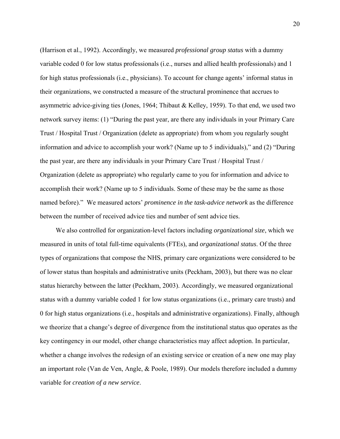(Harrison et al., 1992). Accordingly, we measured *professional group status* with a dummy variable coded 0 for low status professionals (i.e., nurses and allied health professionals) and 1 for high status professionals (i.e., physicians). To account for change agents' informal status in their organizations, we constructed a measure of the structural prominence that accrues to asymmetric advice-giving ties (Jones, 1964; Thibaut & Kelley, 1959). To that end, we used two network survey items: (1) "During the past year, are there any individuals in your Primary Care Trust / Hospital Trust / Organization (delete as appropriate) from whom you regularly sought information and advice to accomplish your work? (Name up to 5 individuals)," and (2) "During the past year, are there any individuals in your Primary Care Trust / Hospital Trust / Organization (delete as appropriate) who regularly came to you for information and advice to accomplish their work? (Name up to 5 individuals. Some of these may be the same as those named before)." We measured actors' *prominence in the task-advice network* as the difference between the number of received advice ties and number of sent advice ties.

We also controlled for organization-level factors including *organizational size*, which we measured in units of total full-time equivalents (FTEs), and *organizational status*. Of the three types of organizations that compose the NHS, primary care organizations were considered to be of lower status than hospitals and administrative units (Peckham, 2003), but there was no clear status hierarchy between the latter (Peckham, 2003). Accordingly, we measured organizational status with a dummy variable coded 1 for low status organizations (i.e., primary care trusts) and 0 for high status organizations (i.e., hospitals and administrative organizations). Finally, although we theorize that a change's degree of divergence from the institutional status quo operates as the key contingency in our model, other change characteristics may affect adoption. In particular, whether a change involves the redesign of an existing service or creation of a new one may play an important role (Van de Ven, Angle, & Poole, 1989). Our models therefore included a dummy variable for *creation of a new service*.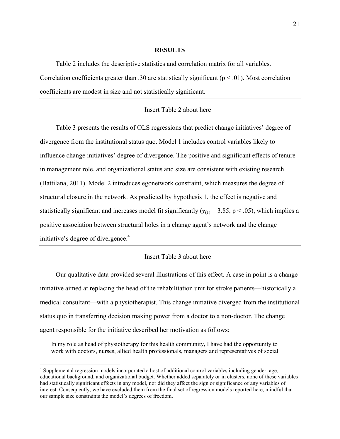#### **RESULTS**

Table 2 includes the descriptive statistics and correlation matrix for all variables. Correlation coefficients greater than .30 are statistically significant ( $p < .01$ ). Most correlation coefficients are modest in size and not statistically significant.

#### Insert Table 2 about here

Table 3 presents the results of OLS regressions that predict change initiatives' degree of divergence from the institutional status quo. Model 1 includes control variables likely to influence change initiatives' degree of divergence. The positive and significant effects of tenure in management role, and organizational status and size are consistent with existing research (Battilana, 2011). Model 2 introduces egonetwork constraint, which measures the degree of structural closure in the network. As predicted by hypothesis 1, the effect is negative and statistically significant and increases model fit significantly ( $\gamma_{(1)}$  = 3.85, p < .05), which implies a positive association between structural holes in a change agent's network and the change initiative's degree of divergence.<sup>4</sup>

## Insert Table 3 about here

Our qualitative data provided several illustrations of this effect. A case in point is a change initiative aimed at replacing the head of the rehabilitation unit for stroke patients—historically a medical consultant—with a physiotherapist. This change initiative diverged from the institutional status quo in transferring decision making power from a doctor to a non-doctor. The change agent responsible for the initiative described her motivation as follows:

In my role as head of physiotherapy for this health community, I have had the opportunity to work with doctors, nurses, allied health professionals, managers and representatives of social

 $\overline{a}$ 

<sup>&</sup>lt;sup>4</sup> Supplemental regression models incorporated a host of additional control variables including gender, age, educational background, and organizational budget. Whether added separately or in clusters, none of these variables had statistically significant effects in any model, nor did they affect the sign or significance of any variables of interest. Consequently, we have excluded them from the final set of regression models reported here, mindful that our sample size constraints the model's degrees of freedom.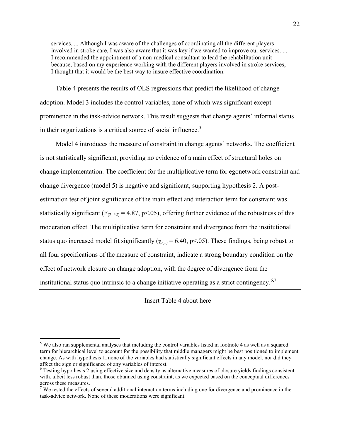services. ... Although I was aware of the challenges of coordinating all the different players involved in stroke care, I was also aware that it was key if we wanted to improve our services. ... I recommended the appointment of a non-medical consultant to lead the rehabilitation unit because, based on my experience working with the different players involved in stroke services, I thought that it would be the best way to insure effective coordination.

Table 4 presents the results of OLS regressions that predict the likelihood of change adoption. Model 3 includes the control variables, none of which was significant except prominence in the task-advice network. This result suggests that change agents' informal status in their organizations is a critical source of social influence.<sup>5</sup>

Model 4 introduces the measure of constraint in change agents' networks. The coefficient is not statistically significant, providing no evidence of a main effect of structural holes on change implementation. The coefficient for the multiplicative term for egonetwork constraint and change divergence (model 5) is negative and significant, supporting hypothesis 2. A postestimation test of joint significance of the main effect and interaction term for constraint was statistically significant ( $F_{(2, 52)} = 4.87$ , p<.05), offering further evidence of the robustness of this moderation effect. The multiplicative term for constraint and divergence from the institutional status quo increased model fit significantly ( $\chi_{(1)}$  = 6.40, p<.05). These findings, being robust to all four specifications of the measure of constraint, indicate a strong boundary condition on the effect of network closure on change adoption, with the degree of divergence from the institutional status quo intrinsic to a change initiative operating as a strict contingency.<sup>6,7</sup>

Insert Table 4 about here

 $\overline{a}$ 

 $<sup>5</sup>$  We also ran supplemental analyses that including the control variables listed in footnote 4 as well as a squared</sup> term for hierarchical level to account for the possibility that middle managers might be best positioned to implement change. As with hypothesis 1, none of the variables had statistically significant effects in any model, nor did they affect the sign or significance of any variables of interest. 6

Testing hypothesis 2 using effective size and density as alternative measures of closure yields findings consistent with, albeit less robust than, those obtained using constraint, as we expected based on the conceptual differences across these measures.

 $7$  We tested the effects of several additional interaction terms including one for divergence and prominence in the task-advice network. None of these moderations were significant.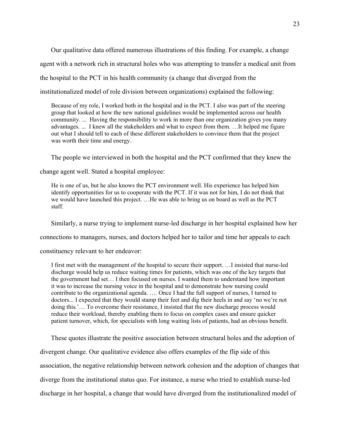Our qualitative data offered numerous illustrations of this finding. For example, a change agent with a network rich in structural holes who was attempting to transfer a medical unit from the hospital to the PCT in his health community (a change that diverged from the institutionalized model of role division between organizations) explained the following:

Because of my role, I worked both in the hospital and in the PCT. I also was part of the steering group that looked at how the new national guidelines would be implemented across our health community. ... Having the responsibility to work in more than one organization gives you many advantages. ... I knew all the stakeholders and what to expect from them. …It helped me figure out what I should tell to each of these different stakeholders to convince them that the project was worth their time and energy.

The people we interviewed in both the hospital and the PCT confirmed that they knew the

change agent well. Stated a hospital employee:

He is one of us, but he also knows the PCT environment well. His experience has helped him identify opportunities for us to cooperate with the PCT. If it was not for him, I do not think that we would have launched this project. …He was able to bring us on board as well as the PCT staff.

Similarly, a nurse trying to implement nurse-led discharge in her hospital explained how her

connections to managers, nurses, and doctors helped her to tailor and time her appeals to each

constituency relevant to her endeavor:

I first met with the management of the hospital to secure their support. …I insisted that nurse-led discharge would help us reduce waiting times for patients, which was one of the key targets that the government had set… I then focused on nurses. I wanted them to understand how important it was to increase the nursing voice in the hospital and to demonstrate how nursing could contribute to the organizational agenda. …. Once I had the full support of nurses, I turned to doctors... I expected that they would stamp their feet and dig their heels in and say 'no we're not doing this.'… To overcome their resistance, I insisted that the new discharge process would reduce their workload, thereby enabling them to focus on complex cases and ensure quicker patient turnover, which, for specialists with long waiting lists of patients, had an obvious benefit.

These quotes illustrate the positive association between structural holes and the adoption of divergent change. Our qualitative evidence also offers examples of the flip side of this association, the negative relationship between network cohesion and the adoption of changes that diverge from the institutional status quo. For instance, a nurse who tried to establish nurse-led discharge in her hospital, a change that would have diverged from the institutionalized model of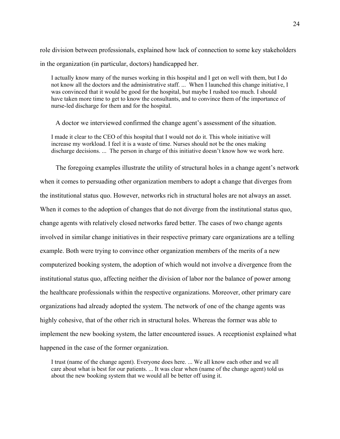role division between professionals, explained how lack of connection to some key stakeholders in the organization (in particular, doctors) handicapped her.

I actually know many of the nurses working in this hospital and I get on well with them, but I do not know all the doctors and the administrative staff. ... When I launched this change initiative, I was convinced that it would be good for the hospital, but maybe I rushed too much. I should have taken more time to get to know the consultants, and to convince them of the importance of nurse-led discharge for them and for the hospital.

A doctor we interviewed confirmed the change agent's assessment of the situation.

I made it clear to the CEO of this hospital that I would not do it. This whole initiative will increase my workload. I feel it is a waste of time. Nurses should not be the ones making discharge decisions. ... The person in charge of this initiative doesn't know how we work here.

The foregoing examples illustrate the utility of structural holes in a change agent's network when it comes to persuading other organization members to adopt a change that diverges from the institutional status quo. However, networks rich in structural holes are not always an asset. When it comes to the adoption of changes that do not diverge from the institutional status quo, change agents with relatively closed networks fared better. The cases of two change agents involved in similar change initiatives in their respective primary care organizations are a telling example. Both were trying to convince other organization members of the merits of a new computerized booking system, the adoption of which would not involve a divergence from the institutional status quo, affecting neither the division of labor nor the balance of power among the healthcare professionals within the respective organizations. Moreover, other primary care organizations had already adopted the system. The network of one of the change agents was highly cohesive, that of the other rich in structural holes. Whereas the former was able to implement the new booking system, the latter encountered issues. A receptionist explained what happened in the case of the former organization.

I trust (name of the change agent). Everyone does here. ... We all know each other and we all care about what is best for our patients. ... It was clear when (name of the change agent) told us about the new booking system that we would all be better off using it.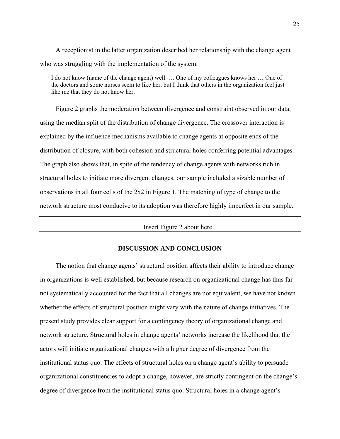A receptionist in the latter organization described her relationship with the change agent who was struggling with the implementation of the system.

I do not know (name of the change agent) well. … One of my colleagues knows her … One of the doctors and some nurses seem to like her, but I think that others in the organization feel just like me that they do not know her.

Figure 2 graphs the moderation between divergence and constraint observed in our data, using the median split of the distribution of change divergence. The crossover interaction is explained by the influence mechanisms available to change agents at opposite ends of the distribution of closure, with both cohesion and structural holes conferring potential advantages. The graph also shows that, in spite of the tendency of change agents with networks rich in structural holes to initiate more divergent changes, our sample included a sizable number of observations in all four cells of the 2x2 in Figure 1. The matching of type of change to the network structure most conducive to its adoption was therefore highly imperfect in our sample.

#### Insert Figure 2 about here

## **DISCUSSION AND CONCLUSION**

The notion that change agents' structural position affects their ability to introduce change in organizations is well established, but because research on organizational change has thus far not systematically accounted for the fact that all changes are not equivalent, we have not known whether the effects of structural position might vary with the nature of change initiatives. The present study provides clear support for a contingency theory of organizational change and network structure. Structural holes in change agents' networks increase the likelihood that the actors will initiate organizational changes with a higher degree of divergence from the institutional status quo. The effects of structural holes on a change agent's ability to persuade organizational constituencies to adopt a change, however, are strictly contingent on the change's degree of divergence from the institutional status quo. Structural holes in a change agent's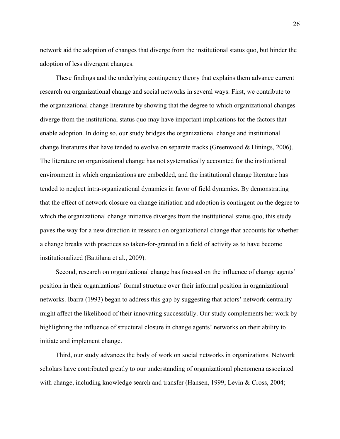network aid the adoption of changes that diverge from the institutional status quo, but hinder the adoption of less divergent changes.

These findings and the underlying contingency theory that explains them advance current research on organizational change and social networks in several ways. First, we contribute to the organizational change literature by showing that the degree to which organizational changes diverge from the institutional status quo may have important implications for the factors that enable adoption. In doing so, our study bridges the organizational change and institutional change literatures that have tended to evolve on separate tracks (Greenwood & Hinings, 2006). The literature on organizational change has not systematically accounted for the institutional environment in which organizations are embedded, and the institutional change literature has tended to neglect intra-organizational dynamics in favor of field dynamics. By demonstrating that the effect of network closure on change initiation and adoption is contingent on the degree to which the organizational change initiative diverges from the institutional status quo, this study paves the way for a new direction in research on organizational change that accounts for whether a change breaks with practices so taken-for-granted in a field of activity as to have become institutionalized (Battilana et al., 2009).

Second, research on organizational change has focused on the influence of change agents' position in their organizations' formal structure over their informal position in organizational networks. Ibarra (1993) began to address this gap by suggesting that actors' network centrality might affect the likelihood of their innovating successfully. Our study complements her work by highlighting the influence of structural closure in change agents' networks on their ability to initiate and implement change.

Third, our study advances the body of work on social networks in organizations. Network scholars have contributed greatly to our understanding of organizational phenomena associated with change, including knowledge search and transfer (Hansen, 1999; Levin & Cross, 2004;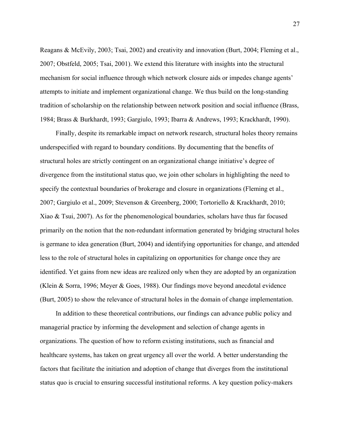Reagans & McEvily, 2003; Tsai, 2002) and creativity and innovation (Burt, 2004; Fleming et al., 2007; Obstfeld, 2005; Tsai, 2001). We extend this literature with insights into the structural mechanism for social influence through which network closure aids or impedes change agents' attempts to initiate and implement organizational change. We thus build on the long-standing tradition of scholarship on the relationship between network position and social influence (Brass, 1984; Brass & Burkhardt, 1993; Gargiulo, 1993; Ibarra & Andrews, 1993; Krackhardt, 1990).

Finally, despite its remarkable impact on network research, structural holes theory remains underspecified with regard to boundary conditions. By documenting that the benefits of structural holes are strictly contingent on an organizational change initiative's degree of divergence from the institutional status quo, we join other scholars in highlighting the need to specify the contextual boundaries of brokerage and closure in organizations (Fleming et al., 2007; Gargiulo et al., 2009; Stevenson & Greenberg, 2000; Tortoriello & Krackhardt, 2010; Xiao & Tsui, 2007). As for the phenomenological boundaries, scholars have thus far focused primarily on the notion that the non-redundant information generated by bridging structural holes is germane to idea generation (Burt, 2004) and identifying opportunities for change, and attended less to the role of structural holes in capitalizing on opportunities for change once they are identified. Yet gains from new ideas are realized only when they are adopted by an organization (Klein & Sorra, 1996; Meyer & Goes, 1988). Our findings move beyond anecdotal evidence (Burt, 2005) to show the relevance of structural holes in the domain of change implementation.

In addition to these theoretical contributions, our findings can advance public policy and managerial practice by informing the development and selection of change agents in organizations. The question of how to reform existing institutions, such as financial and healthcare systems, has taken on great urgency all over the world. A better understanding the factors that facilitate the initiation and adoption of change that diverges from the institutional status quo is crucial to ensuring successful institutional reforms. A key question policy-makers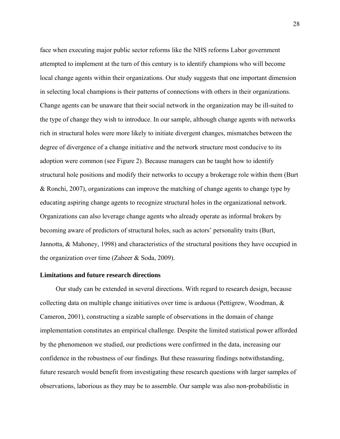face when executing major public sector reforms like the NHS reforms Labor government attempted to implement at the turn of this century is to identify champions who will become local change agents within their organizations. Our study suggests that one important dimension in selecting local champions is their patterns of connections with others in their organizations. Change agents can be unaware that their social network in the organization may be ill-suited to the type of change they wish to introduce. In our sample, although change agents with networks rich in structural holes were more likely to initiate divergent changes, mismatches between the degree of divergence of a change initiative and the network structure most conducive to its adoption were common (see Figure 2). Because managers can be taught how to identify structural hole positions and modify their networks to occupy a brokerage role within them (Burt & Ronchi, 2007), organizations can improve the matching of change agents to change type by educating aspiring change agents to recognize structural holes in the organizational network. Organizations can also leverage change agents who already operate as informal brokers by becoming aware of predictors of structural holes, such as actors' personality traits (Burt, Jannotta, & Mahoney, 1998) and characteristics of the structural positions they have occupied in the organization over time (Zaheer & Soda, 2009).

## **Limitations and future research directions**

Our study can be extended in several directions. With regard to research design, because collecting data on multiple change initiatives over time is arduous (Pettigrew, Woodman, & Cameron, 2001), constructing a sizable sample of observations in the domain of change implementation constitutes an empirical challenge. Despite the limited statistical power afforded by the phenomenon we studied, our predictions were confirmed in the data, increasing our confidence in the robustness of our findings. But these reassuring findings notwithstanding, future research would benefit from investigating these research questions with larger samples of observations, laborious as they may be to assemble. Our sample was also non-probabilistic in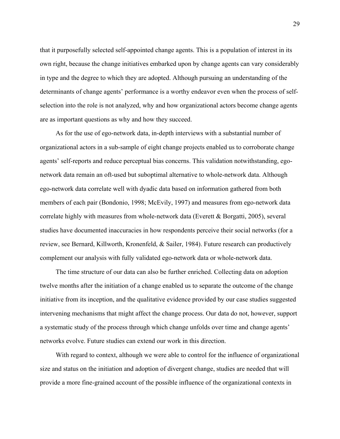that it purposefully selected self-appointed change agents. This is a population of interest in its own right, because the change initiatives embarked upon by change agents can vary considerably in type and the degree to which they are adopted. Although pursuing an understanding of the determinants of change agents' performance is a worthy endeavor even when the process of selfselection into the role is not analyzed, why and how organizational actors become change agents are as important questions as why and how they succeed.

As for the use of ego-network data, in-depth interviews with a substantial number of organizational actors in a sub-sample of eight change projects enabled us to corroborate change agents' self-reports and reduce perceptual bias concerns. This validation notwithstanding, egonetwork data remain an oft-used but suboptimal alternative to whole-network data. Although ego-network data correlate well with dyadic data based on information gathered from both members of each pair (Bondonio, 1998; McEvily, 1997) and measures from ego-network data correlate highly with measures from whole-network data (Everett & Borgatti, 2005), several studies have documented inaccuracies in how respondents perceive their social networks (for a review, see Bernard, Killworth, Kronenfeld, & Sailer, 1984). Future research can productively complement our analysis with fully validated ego-network data or whole-network data.

The time structure of our data can also be further enriched. Collecting data on adoption twelve months after the initiation of a change enabled us to separate the outcome of the change initiative from its inception, and the qualitative evidence provided by our case studies suggested intervening mechanisms that might affect the change process. Our data do not, however, support a systematic study of the process through which change unfolds over time and change agents' networks evolve. Future studies can extend our work in this direction.

With regard to context, although we were able to control for the influence of organizational size and status on the initiation and adoption of divergent change, studies are needed that will provide a more fine-grained account of the possible influence of the organizational contexts in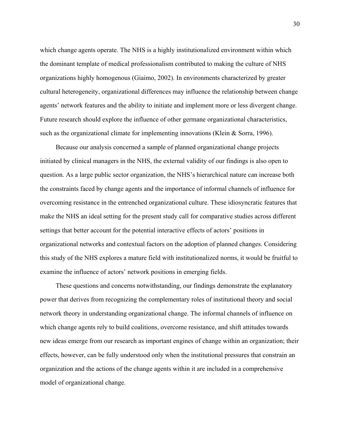which change agents operate. The NHS is a highly institutionalized environment within which the dominant template of medical professionalism contributed to making the culture of NHS organizations highly homogenous (Giaimo, 2002). In environments characterized by greater cultural heterogeneity, organizational differences may influence the relationship between change agents' network features and the ability to initiate and implement more or less divergent change. Future research should explore the influence of other germane organizational characteristics, such as the organizational climate for implementing innovations (Klein  $\&$  Sorra, 1996).

Because our analysis concerned a sample of planned organizational change projects initiated by clinical managers in the NHS, the external validity of our findings is also open to question. As a large public sector organization, the NHS's hierarchical nature can increase both the constraints faced by change agents and the importance of informal channels of influence for overcoming resistance in the entrenched organizational culture. These idiosyncratic features that make the NHS an ideal setting for the present study call for comparative studies across different settings that better account for the potential interactive effects of actors' positions in organizational networks and contextual factors on the adoption of planned changes. Considering this study of the NHS explores a mature field with institutionalized norms, it would be fruitful to examine the influence of actors' network positions in emerging fields.

These questions and concerns notwithstanding, our findings demonstrate the explanatory power that derives from recognizing the complementary roles of institutional theory and social network theory in understanding organizational change. The informal channels of influence on which change agents rely to build coalitions, overcome resistance, and shift attitudes towards new ideas emerge from our research as important engines of change within an organization; their effects, however, can be fully understood only when the institutional pressures that constrain an organization and the actions of the change agents within it are included in a comprehensive model of organizational change.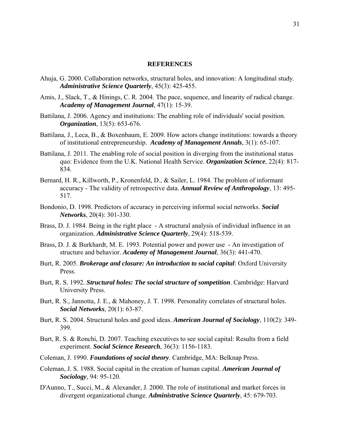#### **REFERENCES**

- Ahuja, G. 2000. Collaboration networks, structural holes, and innovation: A longitudinal study. *Administrative Science Quarterly*, 45(3): 425-455.
- Amis, J., Slack, T., & Hinings, C. R. 2004. The pace, sequence, and linearity of radical change. *Academy of Management Journal*, 47(1): 15-39.
- Battilana, J. 2006. Agency and institutions: The enabling role of individuals' social position. *Organization*, 13(5): 653-676.
- Battilana, J., Leca, B., & Boxenbaum, E. 2009. How actors change institutions: towards a theory of institutional entrepreneurship. *Academy of Management Annals*, 3(1): 65-107.
- Battilana, J. 2011. The enabling role of social position in diverging from the institutional status quo: Evidence from the U.K. National Health Service. *Organization Science*, 22(4): 817- 834.
- Bernard, H. R., Killworth, P., Kronenfeld, D., & Sailer, L. 1984. The problem of informant accuracy - The validity of retrospective data. *Annual Review of Anthropology*, 13: 495- 517.
- Bondonio, D. 1998. Predictors of accuracy in perceiving informal social networks. *Social Networks*, 20(4): 301-330.
- Brass, D. J. 1984. Being in the right place A structural analysis of individual influence in an organization. *Administrative Science Quarterly*, 29(4): 518-539.
- Brass, D. J. & Burkhardt, M. E. 1993. Potential power and power use An investigation of structure and behavior. *Academy of Management Journal*, 36(3): 441-470.
- Burt, R. 2005. *Brokerage and closure: An introduction to social capital*: Oxford University Press.
- Burt, R. S. 1992. *Structural holes: The social structure of sompetition*. Cambridge: Harvard University Press.
- Burt, R. S., Jannotta, J. E., & Mahoney, J. T. 1998. Personality correlates of structural holes. *Social Networks*, 20(1): 63-87.
- Burt, R. S. 2004. Structural holes and good ideas. *American Journal of Sociology*, 110(2): 349- 399.
- Burt, R. S. & Ronchi, D. 2007. Teaching executives to see social capital: Results from a field experiment. *Social Science Research*, 36(3): 1156-1183.
- Coleman, J. 1990. *Foundations of social theory*. Cambridge, MA: Belknap Press.
- Coleman, J. S. 1988. Social capital in the creation of human capital. *American Journal of Sociology*, 94: 95-120.
- D'Aunno, T., Succi, M., & Alexander, J. 2000. The role of institutional and market forces in divergent organizational change. *Administrative Science Quarterly*, 45: 679-703.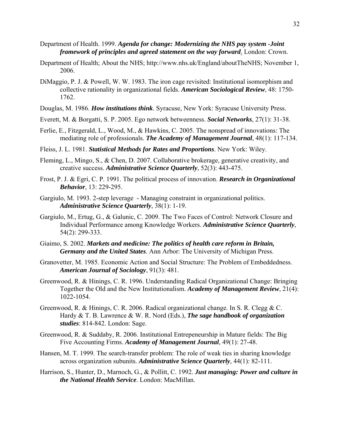- Department of Health. 1999. *Agenda for change: Modernizing the NHS pay system -Joint framework of principles and agreed statement on the way forward*. London: Crown.
- Department of Health; About the NHS; http://www.nhs.uk/England/aboutTheNHS; November 1, 2006.
- DiMaggio, P. J. & Powell, W. W. 1983. The iron cage revisited: Institutional isomorphism and collective rationality in organizational fields. *American Sociological Review*, 48: 1750- 1762.
- Douglas, M. 1986. *How institutions think*. Syracuse, New York: Syracuse University Press.
- Everett, M. & Borgatti, S. P. 2005. Ego network betweenness. *Social Networks*, 27(1): 31-38.
- Ferlie, E., Fitzgerald, L., Wood, M., & Hawkins, C. 2005. The nonspread of innovations: The mediating role of professionals. *The Academy of Management Journal*, 48(1): 117-134.
- Fleiss, J. L. 1981. *Statistical Methods for Rates and Proportions*. New York: Wiley.
- Fleming, L., Mingo, S., & Chen, D. 2007. Collaborative brokerage, generative creativity, and creative success. *Administrative Science Quarterly*, 52(3): 443-475.
- Frost, P. J. & Egri, C. P. 1991. The political process of innovation. *Research in Organizational Behavior*, 13: 229-295.
- Gargiulo, M. 1993. 2-step leverage Managing constraint in organizational politics. *Administrative Science Quarterly*, 38(1): 1-19.
- Gargiulo, M., Ertug, G., & Galunic, C. 2009. The Two Faces of Control: Network Closure and Individual Performance among Knowledge Workers. *Administrative Science Quarterly*, 54(2): 299-333.
- Giaimo, S. 2002. *Markets and medicine: The politics of health care reform in Britain, Germany and the United States*. Ann Arbor: The University of Michigan Press.
- Granovetter, M. 1985. Economic Action and Social Structure: The Problem of Embeddedness. *American Journal of Sociology*, 91(3): 481.
- Greenwood, R. & Hinings, C. R. 1996. Understanding Radical Organizational Change: Bringing Together the Old and the New Institutionalism. *Academy of Management Review*, 21(4): 1022-1054.
- Greenwood, R. & Hinings, C. R. 2006. Radical organizational change. In S. R. Clegg & C. Hardy & T. B. Lawrence & W. R. Nord (Eds.), *The sage handbook of organization studies*: 814-842. London: Sage.
- Greenwood, R. & Suddaby, R. 2006. Institutional Entrepeneurship in Mature fields: The Big Five Accounting Firms. *Academy of Management Journal*, 49(1): 27-48.
- Hansen, M. T. 1999. The search-transfer problem: The role of weak ties in sharing knowledge across organization subunits. *Administrative Science Quarterly*, 44(1): 82-111.
- Harrison, S., Hunter, D., Marnoch, G., & Pollitt, C. 1992. *Just managing: Power and culture in the National Health Service*. London: MacMillan.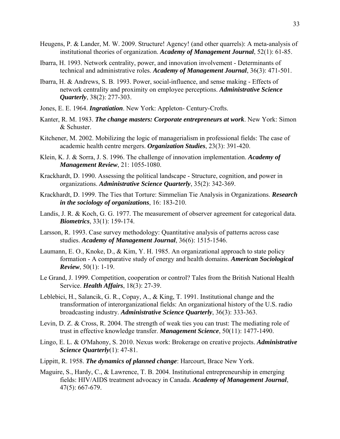- Heugens, P. & Lander, M. W. 2009. Structure! Agency! (and other quarrels): A meta-analysis of institutional theories of organization. *Academy of Management Journal*, 52(1): 61-85.
- Ibarra, H. 1993. Network centrality, power, and innovation involvement Determinants of technical and administrative roles. *Academy of Management Journal*, 36(3): 471-501.
- Ibarra, H. & Andrews, S. B. 1993. Power, social-influence, and sense making Effects of network centrality and proximity on employee perceptions. *Administrative Science Quarterly*, 38(2): 277-303.
- Jones, E. E. 1964. *Ingratiation*. New York: Appleton- Century-Crofts.
- Kanter, R. M. 1983. *The change masters: Corporate entrepreneurs at work*. New York: Simon & Schuster.
- Kitchener, M. 2002. Mobilizing the logic of managerialism in professional fields: The case of academic health centre mergers. *Organization Studies*, 23(3): 391-420.
- Klein, K. J. & Sorra, J. S. 1996. The challenge of innovation implementation. *Academy of Management Review*, 21: 1055-1080.
- Krackhardt, D. 1990. Assessing the political landscape Structure, cognition, and power in organizations. *Administrative Science Quarterly*, 35(2): 342-369.
- Krackhardt, D. 1999. The Ties that Torture: Simmelian Tie Analysis in Organizations. *Research in the sociology of organizations*, 16: 183-210.
- Landis, J. R. & Koch, G. G. 1977. The measurement of observer agreement for categorical data. *Biometrics*, 33(1): 159-174.
- Larsson, R. 1993. Case survey methodology: Quantitative analysis of patterns across case studies. *Academy of Management Journal*, 36(6): 1515-1546.
- Laumann, E. O., Knoke, D., & Kim, Y. H. 1985. An organizational approach to state policy formation - A comparative study of energy and health domains. *American Sociological Review*, 50(1): 1-19.
- Le Grand, J. 1999. Competition, cooperation or control? Tales from the British National Health Service. *Health Affairs*, 18(3): 27-39.
- Leblebici, H., Salancik, G. R., Copay, A., & King, T. 1991. Institutional change and the transformation of interorganizational fields: An organizational history of the U.S. radio broadcasting industry. *Administrative Science Quarterly*, 36(3): 333-363.
- Levin, D. Z. & Cross, R. 2004. The strength of weak ties you can trust: The mediating role of trust in effective knowledge transfer. *Management Science*, 50(11): 1477-1490.
- Lingo, E. L. & O'Mahony, S. 2010. Nexus work: Brokerage on creative projects. *Administrative Science Quarterly*(1): 47-81.
- Lippitt, R. 1958. *The dynamics of planned change*: Harcourt, Brace New York.
- Maguire, S., Hardy, C., & Lawrence, T. B. 2004. Institutional entrepreneurship in emerging fields: HIV/AIDS treatment advocacy in Canada. *Academy of Management Journal*, 47(5): 667-679.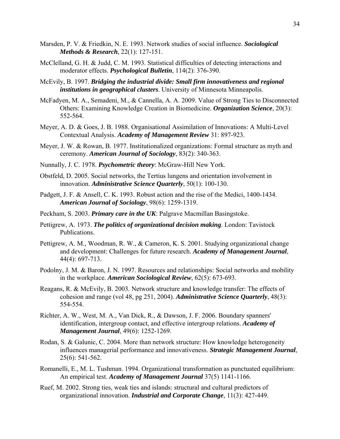- Marsden, P. V. & Friedkin, N. E. 1993. Network studies of social influence. *Sociological Methods & Research*, 22(1): 127-151.
- McClelland, G. H. & Judd, C. M. 1993. Statistical difficulties of detecting interactions and moderator effects. *Psychological Bulletin*, 114(2): 376-390.
- McEvily, B. 1997. *Bridging the industrial divide: Small firm innovativeness and regional institutions in geographical clusters*. University of Minnesota Minneapolis.
- McFadyen, M. A., Semadeni, M., & Cannella, A. A. 2009. Value of Strong Ties to Disconnected Others: Examining Knowledge Creation in Biomedicine. *Organization Science*, 20(3): 552-564.
- Meyer, A. D. & Goes, J. B. 1988. Organisational Assimilation of Innovations: A Multi-Level Contextual Analysis. *Academy of Management Review* 31: 897-923.
- Meyer, J. W. & Rowan, B. 1977. Institutionalized organizations: Formal structure as myth and ceremony. *American Journal of Sociology*, 83(2): 340-363.
- Nunnally, J. C. 1978. *Psychometric theory*: McGraw-Hill New York.
- Obstfeld, D. 2005. Social networks, the Tertius lungens and orientation involvement in innovation. *Administrative Science Quarterly*, 50(1): 100-130.
- Padgett, J. F. & Ansell, C. K. 1993. Robust action and the rise of the Medici, 1400-1434. *American Journal of Sociology*, 98(6): 1259-1319.
- Peckham, S. 2003. *Primary care in the UK*: Palgrave Macmillan Basingstoke.
- Pettigrew, A. 1973. *The politics of organizational decision making*. London: Tavistock Publications.
- Pettigrew, A. M., Woodman, R. W., & Cameron, K. S. 2001. Studying organizational change and development: Challenges for future research. *Academy of Management Journal*, 44(4): 697-713.
- Podolny, J. M. & Baron, J. N. 1997. Resources and relationships: Social networks and mobility in the workplace. *American Sociological Review*, 62(5): 673-693.
- Reagans, R. & McEvily, B. 2003. Network structure and knowledge transfer: The effects of cohesion and range (vol 48, pg 251, 2004). *Administrative Science Quarterly*, 48(3): 554-554.
- Richter, A. W., West, M. A., Van Dick, R., & Dawson, J. F. 2006. Boundary spanners' identification, intergroup contact, and effective intergroup relations. *Academy of Management Journal*, 49(6): 1252-1269.
- Rodan, S. & Galunic, C. 2004. More than network structure: How knowledge heterogeneity influences managerial performance and innovativeness. *Strategic Management Journal*, 25(6): 541-562.
- Romanelli, E., M. L. Tushman. 1994. Organizational transformation as punctuated equilibrium: An empirical test. *Academy of Management Journal* 37(5) 1141-1166.
- Ruef, M. 2002. Strong ties, weak ties and islands: structural and cultural predictors of organizational innovation. *Industrial and Corporate Change*, 11(3): 427-449.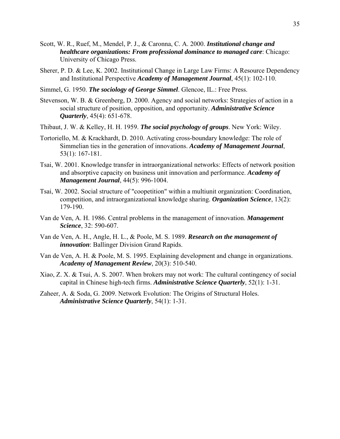- Scott, W. R., Ruef, M., Mendel, P. J., & Caronna, C. A. 2000. *Institutional change and healthcare organizations: From professional dominance to managed care*: Chicago: University of Chicago Press.
- Sherer, P. D. & Lee, K. 2002. Institutional Change in Large Law Firms: A Resource Dependency and Institutional Perspective *Academy of Management Journal*, 45(1): 102-110.
- Simmel, G. 1950. *The sociology of George Simmel*. Glencoe, IL.: Free Press.
- Stevenson, W. B. & Greenberg, D. 2000. Agency and social networks: Strategies of action in a social structure of position, opposition, and opportunity. *Administrative Science Quarterly*, 45(4): 651-678.
- Thibaut, J. W. & Kelley, H. H. 1959. *The social psychology of groups*. New York: Wiley.
- Tortoriello, M. & Krackhardt, D. 2010. Activating cross-boundary knowledge: The role of Simmelian ties in the generation of innovations. *Academy of Management Journal*, 53(1): 167-181.
- Tsai, W. 2001. Knowledge transfer in intraorganizational networks: Effects of network position and absorptive capacity on business unit innovation and performance. *Academy of Management Journal*, 44(5): 996-1004.
- Tsai, W. 2002. Social structure of "coopetition" within a multiunit organization: Coordination, competition, and intraorganizational knowledge sharing. *Organization Science*, 13(2): 179-190.
- Van de Ven, A. H. 1986. Central problems in the management of innovation. *Management Science*, 32: 590-607.
- Van de Ven, A. H., Angle, H. L., & Poole, M. S. 1989. *Research on the management of innovation*: Ballinger Division Grand Rapids.
- Van de Ven, A. H. & Poole, M. S. 1995. Explaining development and change in organizations. *Academy of Management Review*, 20(3): 510-540.
- Xiao, Z. X. & Tsui, A. S. 2007. When brokers may not work: The cultural contingency of social capital in Chinese high-tech firms. *Administrative Science Quarterly*, 52(1): 1-31.
- Zaheer, A. & Soda, G. 2009. Network Evolution: The Origins of Structural Holes. *Administrative Science Quarterly*, 54(1): 1-31.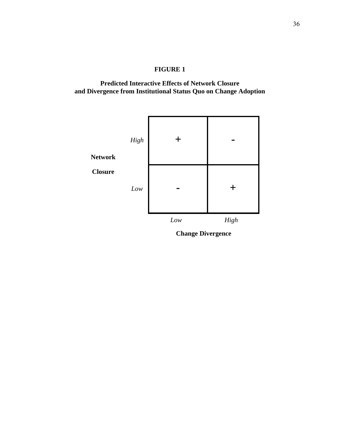**FIGURE 1** 

**Predicted Interactive Effects of Network Closure and Divergence from Institutional Status Quo on Change Adoption** 



**Change Divergence**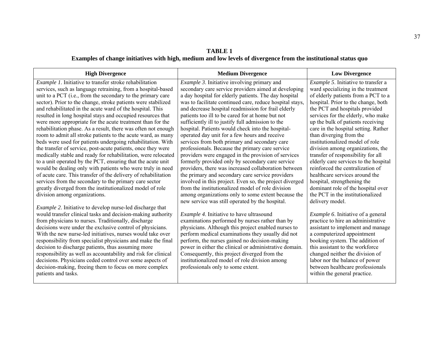#### **TABLE 1 Examples of change initiatives with high, medium and low levels of divergence from the institutional status quo**

| <b>High Divergence</b>                                                                                                                                                                                                                                                                                                                                                                                                                                                                                                                                                                                                                                                                                                                                                                                                                                                                                                                                                                                                                                                                                                                                                                                                                                                                                                                                                                                                                                                                                                                                                                                                                                        | <b>Medium Divergence</b>                                                                                                                                                                                                                                                                                                                                                                                                                                                                                                                                                                                                                                                                                                                                                                                                                                                                                                                                                                                                                                                                                                                                                                                                                                                                                                                                                                                                         | <b>Low Divergence</b>                                                                                                                                                                                                                                                                                                                                                                                                                                                                                                                                                                                                                                                                                                                                                                                                                                                                                                                                                  |  |  |  |
|---------------------------------------------------------------------------------------------------------------------------------------------------------------------------------------------------------------------------------------------------------------------------------------------------------------------------------------------------------------------------------------------------------------------------------------------------------------------------------------------------------------------------------------------------------------------------------------------------------------------------------------------------------------------------------------------------------------------------------------------------------------------------------------------------------------------------------------------------------------------------------------------------------------------------------------------------------------------------------------------------------------------------------------------------------------------------------------------------------------------------------------------------------------------------------------------------------------------------------------------------------------------------------------------------------------------------------------------------------------------------------------------------------------------------------------------------------------------------------------------------------------------------------------------------------------------------------------------------------------------------------------------------------------|----------------------------------------------------------------------------------------------------------------------------------------------------------------------------------------------------------------------------------------------------------------------------------------------------------------------------------------------------------------------------------------------------------------------------------------------------------------------------------------------------------------------------------------------------------------------------------------------------------------------------------------------------------------------------------------------------------------------------------------------------------------------------------------------------------------------------------------------------------------------------------------------------------------------------------------------------------------------------------------------------------------------------------------------------------------------------------------------------------------------------------------------------------------------------------------------------------------------------------------------------------------------------------------------------------------------------------------------------------------------------------------------------------------------------------|------------------------------------------------------------------------------------------------------------------------------------------------------------------------------------------------------------------------------------------------------------------------------------------------------------------------------------------------------------------------------------------------------------------------------------------------------------------------------------------------------------------------------------------------------------------------------------------------------------------------------------------------------------------------------------------------------------------------------------------------------------------------------------------------------------------------------------------------------------------------------------------------------------------------------------------------------------------------|--|--|--|
| <i>Example 1.</i> Initiative to transfer stroke rehabilitation<br>services, such as language retraining, from a hospital-based<br>unit to a PCT (i.e., from the secondary to the primary care<br>sector). Prior to the change, stroke patients were stabilized<br>and rehabilitated in the acute ward of the hospital. This<br>resulted in long hospital stays and occupied resources that<br>were more appropriate for the acute treatment than for the<br>rehabilitation phase. As a result, there was often not enough<br>room to admit all stroke patients to the acute ward, as many<br>beds were used for patients undergoing rehabilitation. With<br>the transfer of service, post-acute patients, once they were<br>medically stable and ready for rehabilitation, were relocated<br>to a unit operated by the PCT, ensuring that the acute unit<br>would be dealing only with patients who were truly in need<br>of acute care. This transfer of the delivery of rehabilitation<br>services from the secondary to the primary care sector<br>greatly diverged from the institutionalized model of role<br>division among organizations.<br><i>Example 2.</i> Initiative to develop nurse-led discharge that<br>would transfer clinical tasks and decision-making authority<br>from physicians to nurses. Traditionally, discharge<br>decisions were under the exclusive control of physicians.<br>With the new nurse-led initiatives, nurses would take over<br>responsibility from specialist physicians and make the final<br>decision to discharge patients, thus assuming more<br>responsibility as well as accountability and risk for clinical | Example 3. Initiative involving primary and<br>secondary care service providers aimed at developing<br>a day hospital for elderly patients. The day hospital<br>was to facilitate continued care, reduce hospital stays,<br>and decrease hospital readmission for frail elderly<br>patients too ill to be cared for at home but not<br>sufficiently ill to justify full admission to the<br>hospital. Patients would check into the hospital-<br>operated day unit for a few hours and receive<br>services from both primary and secondary care<br>professionals. Because the primary care service<br>providers were engaged in the provision of services<br>formerly provided only by secondary care service<br>providers, there was increased collaboration between<br>the primary and secondary care service providers<br>involved in this project. Even so, the project diverged<br>from the institutionalized model of role division<br>among organizations only to some extent because the<br>new service was still operated by the hospital.<br><i>Example 4.</i> Initiative to have ultrasound<br>examinations performed by nurses rather than by<br>physicians. Although this project enabled nurses to<br>perform medical examinations they usually did not<br>perform, the nurses gained no decision-making<br>power in either the clinical or administrative domain.<br>Consequently, this project diverged from the | <i>Example 5.</i> Initiative to transfer a<br>ward specializing in the treatment<br>of elderly patients from a PCT to a<br>hospital. Prior to the change, both<br>the PCT and hospitals provided<br>services for the elderly, who make<br>up the bulk of patients receiving<br>care in the hospital setting. Rather<br>than diverging from the<br>institutionalized model of role<br>division among organizations, the<br>transfer of responsibility for all<br>elderly care services to the hospital<br>reinforced the centralization of<br>healthcare services around the<br>hospital, strengthening the<br>dominant role of the hospital over<br>the PCT in the institutionalized<br>delivery model.<br><i>Example 6.</i> Initiative of a general<br>practice to hire an administrative<br>assistant to implement and manage<br>a computerized appointment<br>booking system. The addition of<br>this assistant to the workforce<br>changed neither the division of |  |  |  |
| decisions. Physicians ceded control over some aspects of<br>decision-making, freeing them to focus on more complex<br>patients and tasks.                                                                                                                                                                                                                                                                                                                                                                                                                                                                                                                                                                                                                                                                                                                                                                                                                                                                                                                                                                                                                                                                                                                                                                                                                                                                                                                                                                                                                                                                                                                     | institutionalized model of role division among<br>professionals only to some extent.                                                                                                                                                                                                                                                                                                                                                                                                                                                                                                                                                                                                                                                                                                                                                                                                                                                                                                                                                                                                                                                                                                                                                                                                                                                                                                                                             | labor nor the balance of power<br>between healthcare professionals<br>within the general practice.                                                                                                                                                                                                                                                                                                                                                                                                                                                                                                                                                                                                                                                                                                                                                                                                                                                                     |  |  |  |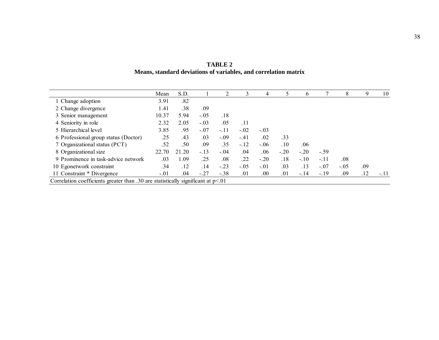|                                                                                   | Mean   | S.D.  |        |        |        | 4      |        | 6      |        | 8      | 9   | 10     |
|-----------------------------------------------------------------------------------|--------|-------|--------|--------|--------|--------|--------|--------|--------|--------|-----|--------|
| 1 Change adoption                                                                 | 3.91   | .82   |        |        |        |        |        |        |        |        |     |        |
| 2 Change divergence                                                               | 1.41   | .38   | .09    |        |        |        |        |        |        |        |     |        |
| 3 Senior management                                                               | 10.37  | 5.94  | $-.05$ | .18    |        |        |        |        |        |        |     |        |
| 4 Seniority in role                                                               | 2.32   | 2.05  | $-.03$ | .05    | .11    |        |        |        |        |        |     |        |
| 5 Hierarchical level                                                              | 3.85   | .95   | $-.07$ | $-.11$ | $-.02$ | $-.03$ |        |        |        |        |     |        |
| 6 Professional group status (Doctor)                                              | .25    | .43   | .03    | $-.09$ | $-.41$ | .02    | .33    |        |        |        |     |        |
| 7 Organizational status (PCT)                                                     | .52    | .50   | .09    | .35    | $-.12$ | $-.06$ | .10    | .06    |        |        |     |        |
| 8 Organizational size                                                             | 22.70  | 21.20 | $-.13$ | $-.04$ | .04    | .06    | $-.20$ | $-.20$ | $-.59$ |        |     |        |
| 9 Prominence in task-advice network                                               | .03    | 1.09  | .25    | .08    | .22    | $-.20$ | .18    | $-.10$ | $-.11$ | .08    |     |        |
| 10 Egonetwork constraint                                                          | .34    | .12   | .14    | $-.23$ | $-.05$ | $-.01$ | .03    | .13    | $-.07$ | $-.05$ | .09 |        |
| 11 Constraint * Divergence                                                        | $-.01$ | .04   | $-.27$ | $-.38$ | .01    | .00.   | .01    | $-.14$ | $-.19$ | .09    | .12 | $-.11$ |
| Correlation coefficients greater than .30 are statistically significant at $p<01$ |        |       |        |        |        |        |        |        |        |        |     |        |

**TABLE 2 Means, standard deviations of variables, and correlation matrix**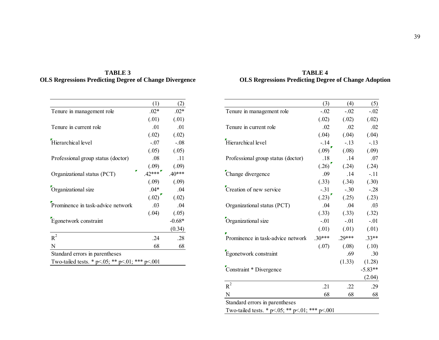|                                                 | (1)     | (2)      |                                    |
|-------------------------------------------------|---------|----------|------------------------------------|
| Tenure in management role                       | $.02*$  | $.02*$   | Tenure in management role          |
|                                                 | (.01)   | (.01)    |                                    |
| Tenure in current role                          | .01     | .01      | Tenure in current role             |
|                                                 | (.02)   | (.02)    |                                    |
| Hierarchical level                              | $-.07$  | $-.08$   | Hierarchical level                 |
|                                                 | (.05)   | (.05)    |                                    |
| Professional group status (doctor)              | .08     | .11      | Professional group status (doctor) |
|                                                 | (.09)   | (.09)    |                                    |
| Organizational status (PCT)                     | $42***$ | $.40***$ | Change divergence                  |
|                                                 | (.09)   | (.09)    |                                    |
| Organizational size                             | $.04*$  | .04      | Creation of new service            |
|                                                 | (.02)   | (.02)    |                                    |
| Prominence in task-advice network               | .03     | .04      | Organizational status (PCT)        |
|                                                 | (.04)   | (.05)    |                                    |
| Egonetwork constraint                           |         | $-0.68*$ | Organizational size                |
|                                                 |         | (0.34)   |                                    |
| $R^2$                                           | .24     | .28      | Prominence in task-advice network  |
| N                                               | 68      | 68       |                                    |
| Standard errors in parentheses                  |         |          | Egonetwork constraint              |
| Two-tailed tests. * p<.05: ** p<.01: *** p<.001 |         |          |                                    |

**TABLE 3 OLS Regressions Predicting Degree of Change Divergence** 

**TABLE 4 OLS Regressions Predicting Degree of Change Adoption** 

|                                                 | (1)                  | (2)      |                                                 | (3)                  | (4)      | (5)       |  |  |  |
|-------------------------------------------------|----------------------|----------|-------------------------------------------------|----------------------|----------|-----------|--|--|--|
| Tenure in management role                       | $.02*$               | $.02*$   | Tenure in management role                       | $-.02$               | $-.02$   | $-.02$    |  |  |  |
|                                                 | (.01)                | (.01)    |                                                 | (.02)                | (.02)    | (.02)     |  |  |  |
| Tenure in current role                          | .01                  | .01      | Tenure in current role                          | .02                  | .02      | .02       |  |  |  |
|                                                 | (.02)                | (.02)    |                                                 | (.04)                | (.04)    | (.04)     |  |  |  |
| Hierarchical level                              | $-.07$               | $-.08$   | Hierarchical level                              | $-14$                | $-.13$   | $-.13$    |  |  |  |
|                                                 | (.05)                | (.05)    |                                                 | $(.09)$ <sup>*</sup> | (.08)    | (.09)     |  |  |  |
| Professional group status (doctor)              | .08                  | .11      | Professional group status (doctor)              | .18                  | .14      | .07       |  |  |  |
|                                                 | (.09)                | (.09)    |                                                 | (.26)                | (.24)    | (.24)     |  |  |  |
| г.<br>Organizational status (PCT)               | $42***$              | $.40***$ | Change divergence                               | .09                  | .14      | $-.11$    |  |  |  |
|                                                 | (.09)                | (.09)    |                                                 | (.33)                | (.34)    | (.30)     |  |  |  |
| Organizational size                             | $.04*$               | .04      | Creation of new service                         | $-.31$               | $-.30$   | $-.28$    |  |  |  |
|                                                 | $(.02)$ <sup>'</sup> | (.02)    |                                                 | (.23)                | (.25)    | (.23)     |  |  |  |
| Prominence in task-advice network               | .03                  | .04      | Organizational status (PCT)                     | .04                  | .04      | .03       |  |  |  |
|                                                 | (.04)                | (.05)    |                                                 | (.33)                | (.33)    | (.32)     |  |  |  |
| Egonetwork constraint                           |                      | $-0.68*$ | Organizational size                             | $-.01$               | $-.01$   | $-.01$    |  |  |  |
|                                                 |                      | (0.34)   |                                                 | (.01)                | (.01)    | (.01)     |  |  |  |
| $R^2$                                           | .24                  | .28      | Prominence in task-advice network               | $.30***$             | $.29***$ | $.33**$   |  |  |  |
| N                                               | 68                   | 68       |                                                 | (.07)                | (.08)    | (.10)     |  |  |  |
| Standard errors in parentheses                  |                      |          | Egonetwork constraint                           |                      | .69      | .30       |  |  |  |
| Two-tailed tests. * p<.05; ** p<.01; *** p<.001 |                      |          |                                                 | (1.33)               | (1.28)   |           |  |  |  |
|                                                 |                      |          | Constraint * Divergence                         |                      |          | $-5.83**$ |  |  |  |
|                                                 |                      |          |                                                 |                      |          | (2.04)    |  |  |  |
|                                                 |                      |          | $R^2$                                           | .21                  | .22      | .29       |  |  |  |
|                                                 |                      |          | N                                               | 68                   | 68       | 68        |  |  |  |
|                                                 |                      |          | Standard errors in parentheses                  |                      |          |           |  |  |  |
|                                                 |                      |          | Two-tailed tests. * p<.05; ** p<.01; *** p<.001 |                      |          |           |  |  |  |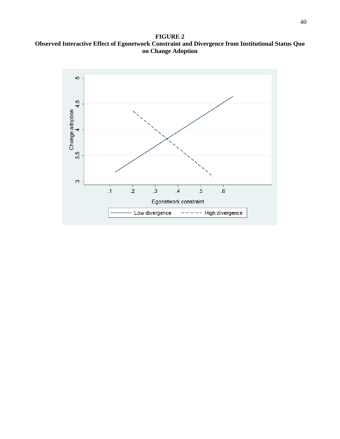**FIGURE 2 Observed Interactive Effect of Egonetwork Constraint and Divergence from Institutional Status Quo on Change Adoption**